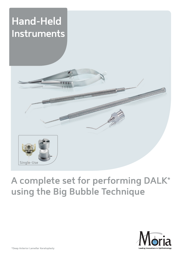# **Hand-Held Instruments**



# **A complete set for performing DALK\* using the Big Bubble Technique**

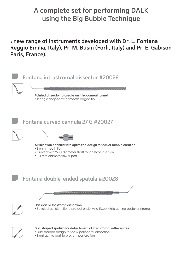## **A complete set for performing DALK using the Big Bubble Technique**

**A new range of instruments developed with Dr. L. Fontana (Reggio Emilia, Italy), Pr. M. Busin (Forli, Italy) and Pr. E. Gabison (Paris, France).**

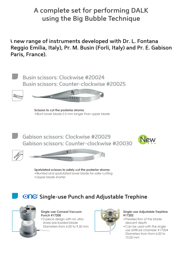## **A complete set for performing DALK using the Big Bubble Technique**

**A new range of instruments developed with Dr. L. Fontana (Reggio Emilia, Italy), Pr. M. Busin (Forli, Italy) and Pr. E. Gabison (Paris, France).**



### *<b>ONE* Single-use Punch and Adjustable Trephine



**Single-use Corneal Vacuum Punch #17200** •2-piece design with an ultrasharp pre-loaded blade Diameters from 6.00 to 9.50 mm



### **Single-use Adjustable Trephine #17202**

- •Preselection of the blade descent depth
- •Can be used with the singleuse artifcial chamber #17204 Diameters from from 6.00 to 10.00 mm